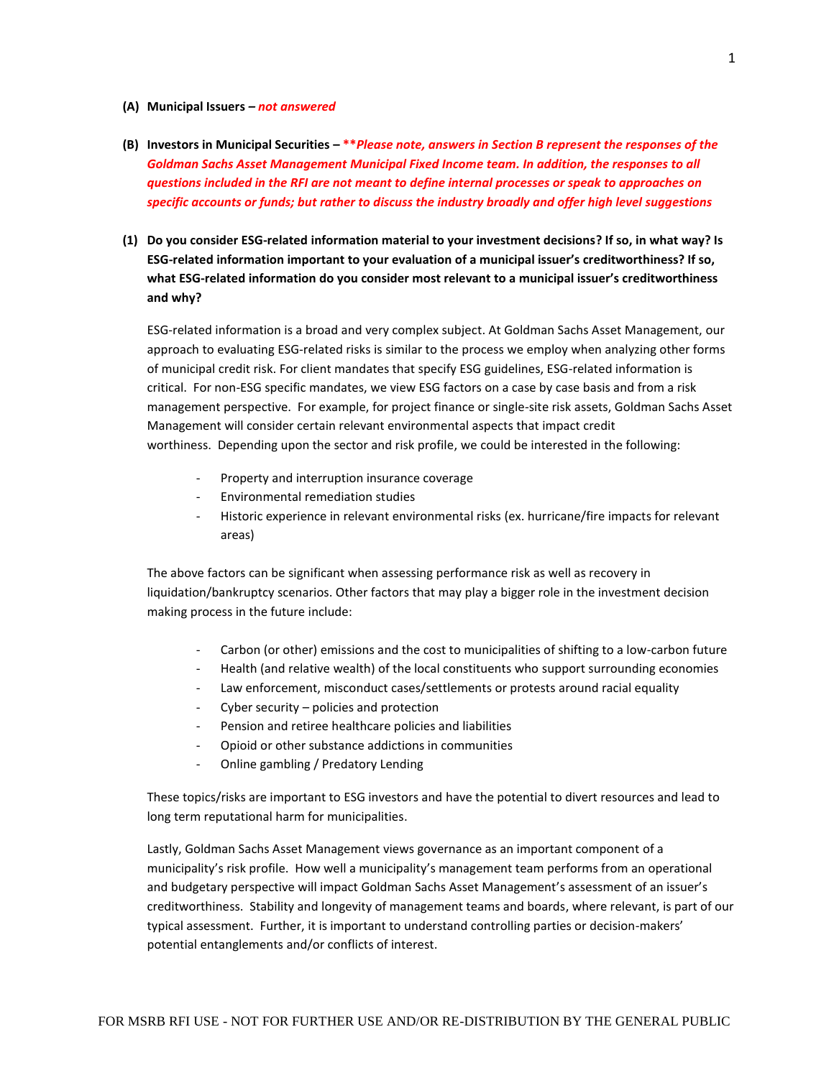## **(A) Municipal Issuers** *– not answered*

- **(B) Investors in Municipal Securities – \*\****Please note, answers in Section B represent the responses of the Goldman Sachs Asset Management Municipal Fixed Income team. In addition, the responses to all questions included in the RFI are not meant to define internal processes or speak to approaches on specific accounts or funds; but rather to discuss the industry broadly and offer high level suggestions*
- **(1) Do you consider ESG-related information material to your investment decisions? If so, in what way? Is ESG-related information important to your evaluation of a municipal issuer's creditworthiness? If so, what ESG-related information do you consider most relevant to a municipal issuer's creditworthiness and why?**

ESG-related information is a broad and very complex subject. At Goldman Sachs Asset Management, our approach to evaluating ESG-related risks is similar to the process we employ when analyzing other forms of municipal credit risk. For client mandates that specify ESG guidelines, ESG-related information is critical. For non-ESG specific mandates, we view ESG factors on a case by case basis and from a risk management perspective. For example, for project finance or single-site risk assets, Goldman Sachs Asset Management will consider certain relevant environmental aspects that impact credit worthiness. Depending upon the sector and risk profile, we could be interested in the following:

- Property and interruption insurance coverage
- Environmental remediation studies
- Historic experience in relevant environmental risks (ex. hurricane/fire impacts for relevant areas)

The above factors can be significant when assessing performance risk as well as recovery in liquidation/bankruptcy scenarios. Other factors that may play a bigger role in the investment decision making process in the future include:

- Carbon (or other) emissions and the cost to municipalities of shifting to a low-carbon future
- Health (and relative wealth) of the local constituents who support surrounding economies
- Law enforcement, misconduct cases/settlements or protests around racial equality
- Cyber security policies and protection
- Pension and retiree healthcare policies and liabilities
- Opioid or other substance addictions in communities
- Online gambling / Predatory Lending

These topics/risks are important to ESG investors and have the potential to divert resources and lead to long term reputational harm for municipalities.

Lastly, Goldman Sachs Asset Management views governance as an important component of a municipality's risk profile. How well a municipality's management team performs from an operational and budgetary perspective will impact Goldman Sachs Asset Management's assessment of an issuer's creditworthiness. Stability and longevity of management teams and boards, where relevant, is part of our typical assessment. Further, it is important to understand controlling parties or decision-makers' potential entanglements and/or conflicts of interest.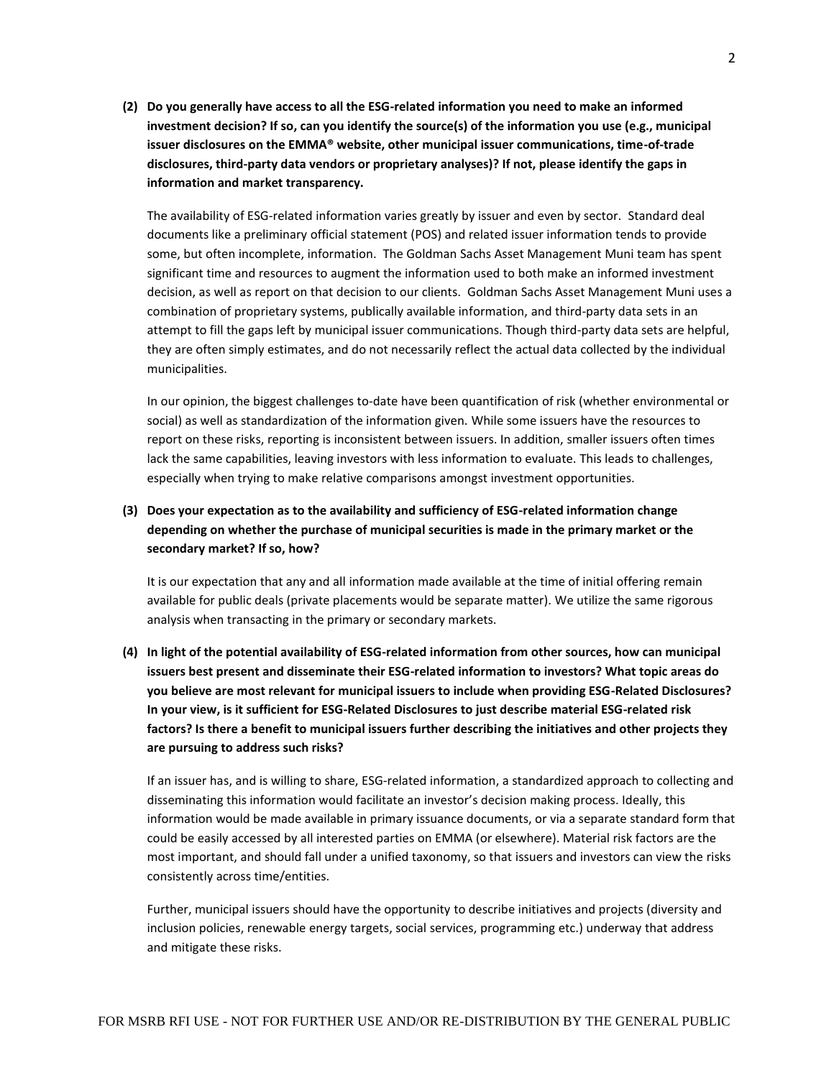**(2) Do you generally have access to all the ESG-related information you need to make an informed investment decision? If so, can you identify the source(s) of the information you use (e.g., municipal issuer disclosures on the EMMA® website, other municipal issuer communications, time-of-trade disclosures, third-party data vendors or proprietary analyses)? If not, please identify the gaps in information and market transparency.**

The availability of ESG-related information varies greatly by issuer and even by sector. Standard deal documents like a preliminary official statement (POS) and related issuer information tends to provide some, but often incomplete, information. The Goldman Sachs Asset Management Muni team has spent significant time and resources to augment the information used to both make an informed investment decision, as well as report on that decision to our clients. Goldman Sachs Asset Management Muni uses a combination of proprietary systems, publically available information, and third-party data sets in an attempt to fill the gaps left by municipal issuer communications. Though third-party data sets are helpful, they are often simply estimates, and do not necessarily reflect the actual data collected by the individual municipalities.

In our opinion, the biggest challenges to-date have been quantification of risk (whether environmental or social) as well as standardization of the information given. While some issuers have the resources to report on these risks, reporting is inconsistent between issuers. In addition, smaller issuers often times lack the same capabilities, leaving investors with less information to evaluate. This leads to challenges, especially when trying to make relative comparisons amongst investment opportunities.

# **(3) Does your expectation as to the availability and sufficiency of ESG-related information change depending on whether the purchase of municipal securities is made in the primary market or the secondary market? If so, how?**

It is our expectation that any and all information made available at the time of initial offering remain available for public deals (private placements would be separate matter). We utilize the same rigorous analysis when transacting in the primary or secondary markets.

**(4) In light of the potential availability of ESG-related information from other sources, how can municipal issuers best present and disseminate their ESG-related information to investors? What topic areas do you believe are most relevant for municipal issuers to include when providing ESG-Related Disclosures? In your view, is it sufficient for ESG-Related Disclosures to just describe material ESG-related risk factors? Is there a benefit to municipal issuers further describing the initiatives and other projects they are pursuing to address such risks?** 

If an issuer has, and is willing to share, ESG-related information, a standardized approach to collecting and disseminating this information would facilitate an investor's decision making process. Ideally, this information would be made available in primary issuance documents, or via a separate standard form that could be easily accessed by all interested parties on EMMA (or elsewhere). Material risk factors are the most important, and should fall under a unified taxonomy, so that issuers and investors can view the risks consistently across time/entities.

Further, municipal issuers should have the opportunity to describe initiatives and projects (diversity and inclusion policies, renewable energy targets, social services, programming etc.) underway that address and mitigate these risks.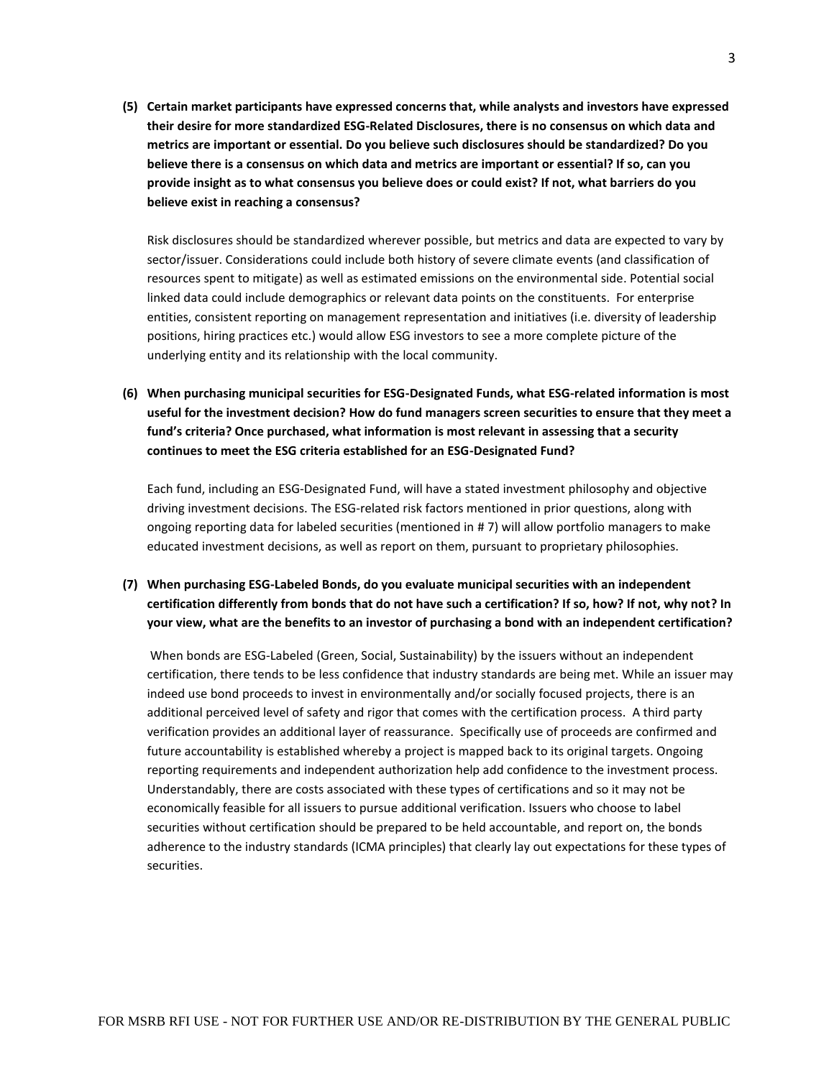**(5) Certain market participants have expressed concerns that, while analysts and investors have expressed their desire for more standardized ESG-Related Disclosures, there is no consensus on which data and metrics are important or essential. Do you believe such disclosures should be standardized? Do you believe there is a consensus on which data and metrics are important or essential? If so, can you provide insight as to what consensus you believe does or could exist? If not, what barriers do you believe exist in reaching a consensus?**

Risk disclosures should be standardized wherever possible, but metrics and data are expected to vary by sector/issuer. Considerations could include both history of severe climate events (and classification of resources spent to mitigate) as well as estimated emissions on the environmental side. Potential social linked data could include demographics or relevant data points on the constituents. For enterprise entities, consistent reporting on management representation and initiatives (i.e. diversity of leadership positions, hiring practices etc.) would allow ESG investors to see a more complete picture of the underlying entity and its relationship with the local community.

**(6) When purchasing municipal securities for ESG-Designated Funds, what ESG-related information is most useful for the investment decision? How do fund managers screen securities to ensure that they meet a fund's criteria? Once purchased, what information is most relevant in assessing that a security continues to meet the ESG criteria established for an ESG-Designated Fund?** 

Each fund, including an ESG-Designated Fund, will have a stated investment philosophy and objective driving investment decisions. The ESG-related risk factors mentioned in prior questions, along with ongoing reporting data for labeled securities (mentioned in # 7) will allow portfolio managers to make educated investment decisions, as well as report on them, pursuant to proprietary philosophies.

# **(7) When purchasing ESG-Labeled Bonds, do you evaluate municipal securities with an independent certification differently from bonds that do not have such a certification? If so, how? If not, why not? In your view, what are the benefits to an investor of purchasing a bond with an independent certification?**

When bonds are ESG-Labeled (Green, Social, Sustainability) by the issuers without an independent certification, there tends to be less confidence that industry standards are being met. While an issuer may indeed use bond proceeds to invest in environmentally and/or socially focused projects, there is an additional perceived level of safety and rigor that comes with the certification process. A third party verification provides an additional layer of reassurance. Specifically use of proceeds are confirmed and future accountability is established whereby a project is mapped back to its original targets. Ongoing reporting requirements and independent authorization help add confidence to the investment process. Understandably, there are costs associated with these types of certifications and so it may not be economically feasible for all issuers to pursue additional verification. Issuers who choose to label securities without certification should be prepared to be held accountable, and report on, the bonds adherence to the industry standards (ICMA principles) that clearly lay out expectations for these types of securities.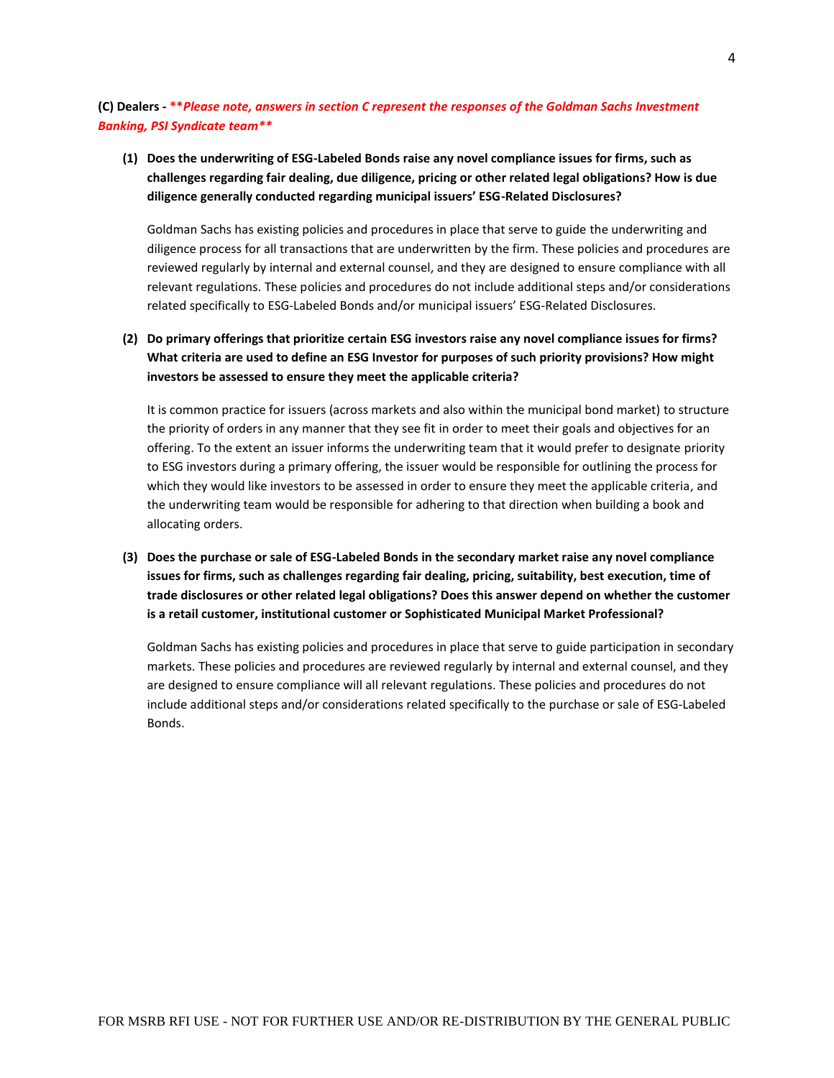**(C) Dealers - \*\****Please note, answers in section C represent the responses of the Goldman Sachs Investment Banking, PSI Syndicate team\*\**

**(1) Does the underwriting of ESG-Labeled Bonds raise any novel compliance issues for firms, such as challenges regarding fair dealing, due diligence, pricing or other related legal obligations? How is due diligence generally conducted regarding municipal issuers' ESG-Related Disclosures?** 

Goldman Sachs has existing policies and procedures in place that serve to guide the underwriting and diligence process for all transactions that are underwritten by the firm. These policies and procedures are reviewed regularly by internal and external counsel, and they are designed to ensure compliance with all relevant regulations. These policies and procedures do not include additional steps and/or considerations related specifically to ESG-Labeled Bonds and/or municipal issuers' ESG-Related Disclosures.

**(2) Do primary offerings that prioritize certain ESG investors raise any novel compliance issues for firms? What criteria are used to define an ESG Investor for purposes of such priority provisions? How might investors be assessed to ensure they meet the applicable criteria?** 

It is common practice for issuers (across markets and also within the municipal bond market) to structure the priority of orders in any manner that they see fit in order to meet their goals and objectives for an offering. To the extent an issuer informs the underwriting team that it would prefer to designate priority to ESG investors during a primary offering, the issuer would be responsible for outlining the process for which they would like investors to be assessed in order to ensure they meet the applicable criteria, and the underwriting team would be responsible for adhering to that direction when building a book and allocating orders.

**(3) Does the purchase or sale of ESG-Labeled Bonds in the secondary market raise any novel compliance issues for firms, such as challenges regarding fair dealing, pricing, suitability, best execution, time of trade disclosures or other related legal obligations? Does this answer depend on whether the customer is a retail customer, institutional customer or Sophisticated Municipal Market Professional?** 

Goldman Sachs has existing policies and procedures in place that serve to guide participation in secondary markets. These policies and procedures are reviewed regularly by internal and external counsel, and they are designed to ensure compliance will all relevant regulations. These policies and procedures do not include additional steps and/or considerations related specifically to the purchase or sale of ESG-Labeled Bonds.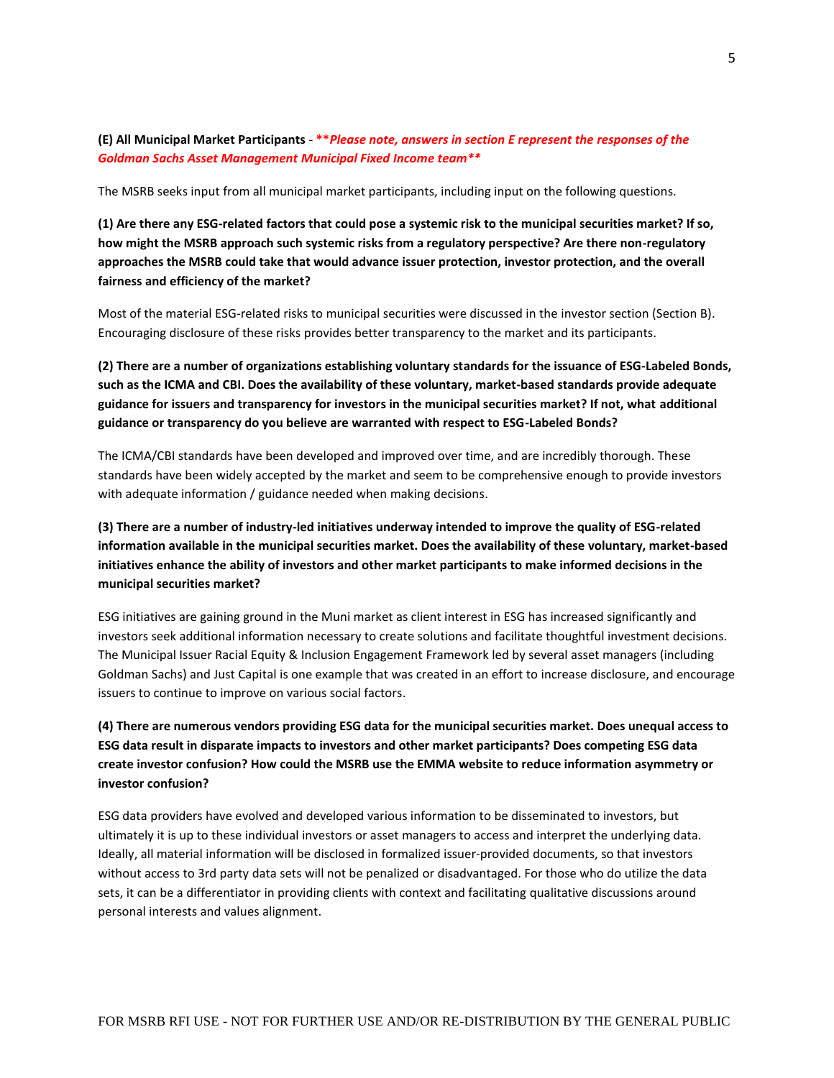# **(E) All Municipal Market Participants** - **\*\****Please note, answers in section E represent the responses of the Goldman Sachs Asset Management Municipal Fixed Income team\*\**

The MSRB seeks input from all municipal market participants, including input on the following questions.

**(1) Are there any ESG-related factors that could pose a systemic risk to the municipal securities market? If so, how might the MSRB approach such systemic risks from a regulatory perspective? Are there non-regulatory approaches the MSRB could take that would advance issuer protection, investor protection, and the overall fairness and efficiency of the market?** 

Most of the material ESG-related risks to municipal securities were discussed in the investor section (Section B). Encouraging disclosure of these risks provides better transparency to the market and its participants.

**(2) There are a number of organizations establishing voluntary standards for the issuance of ESG-Labeled Bonds, such as the ICMA and CBI. Does the availability of these voluntary, market-based standards provide adequate guidance for issuers and transparency for investors in the municipal securities market? If not, what additional guidance or transparency do you believe are warranted with respect to ESG-Labeled Bonds?** 

The ICMA/CBI standards have been developed and improved over time, and are incredibly thorough. These standards have been widely accepted by the market and seem to be comprehensive enough to provide investors with adequate information / guidance needed when making decisions.

**(3) There are a number of industry-led initiatives underway intended to improve the quality of ESG-related information available in the municipal securities market. Does the availability of these voluntary, market-based initiatives enhance the ability of investors and other market participants to make informed decisions in the municipal securities market?** 

ESG initiatives are gaining ground in the Muni market as client interest in ESG has increased significantly and investors seek additional information necessary to create solutions and facilitate thoughtful investment decisions. The Municipal Issuer Racial Equity & Inclusion Engagement Framework led by several asset managers (including Goldman Sachs) and Just Capital is one example that was created in an effort to increase disclosure, and encourage issuers to continue to improve on various social factors.

**(4) There are numerous vendors providing ESG data for the municipal securities market. Does unequal access to ESG data result in disparate impacts to investors and other market participants? Does competing ESG data create investor confusion? How could the MSRB use the EMMA website to reduce information asymmetry or investor confusion?**

ESG data providers have evolved and developed various information to be disseminated to investors, but ultimately it is up to these individual investors or asset managers to access and interpret the underlying data. Ideally, all material information will be disclosed in formalized issuer-provided documents, so that investors without access to 3rd party data sets will not be penalized or disadvantaged. For those who do utilize the data sets, it can be a differentiator in providing clients with context and facilitating qualitative discussions around personal interests and values alignment.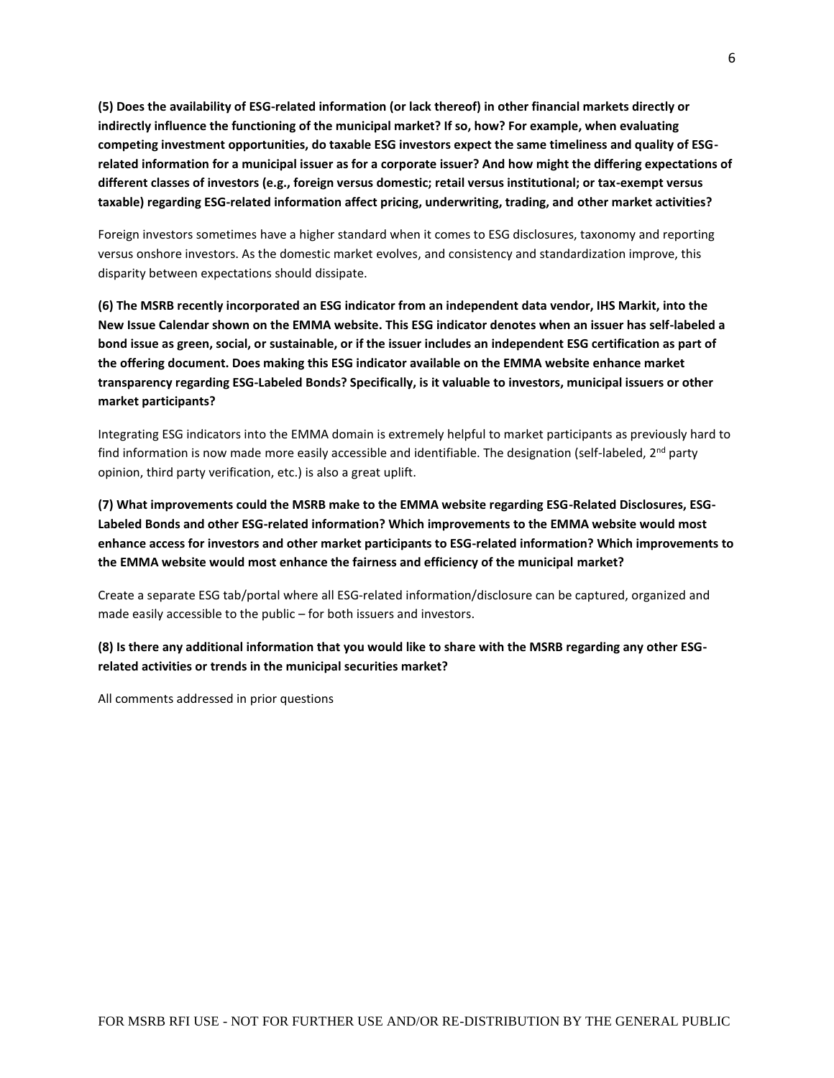**(5) Does the availability of ESG-related information (or lack thereof) in other financial markets directly or indirectly influence the functioning of the municipal market? If so, how? For example, when evaluating competing investment opportunities, do taxable ESG investors expect the same timeliness and quality of ESGrelated information for a municipal issuer as for a corporate issuer? And how might the differing expectations of different classes of investors (e.g., foreign versus domestic; retail versus institutional; or tax-exempt versus taxable) regarding ESG-related information affect pricing, underwriting, trading, and other market activities?** 

Foreign investors sometimes have a higher standard when it comes to ESG disclosures, taxonomy and reporting versus onshore investors. As the domestic market evolves, and consistency and standardization improve, this disparity between expectations should dissipate.

**(6) The MSRB recently incorporated an ESG indicator from an independent data vendor, IHS Markit, into the New Issue Calendar shown on the EMMA website. This ESG indicator denotes when an issuer has self-labeled a bond issue as green, social, or sustainable, or if the issuer includes an independent ESG certification as part of the offering document. Does making this ESG indicator available on the EMMA website enhance market transparency regarding ESG-Labeled Bonds? Specifically, is it valuable to investors, municipal issuers or other market participants?** 

Integrating ESG indicators into the EMMA domain is extremely helpful to market participants as previously hard to find information is now made more easily accessible and identifiable. The designation (self-labeled,  $2<sup>nd</sup>$  party opinion, third party verification, etc.) is also a great uplift.

**(7) What improvements could the MSRB make to the EMMA website regarding ESG-Related Disclosures, ESG-Labeled Bonds and other ESG-related information? Which improvements to the EMMA website would most enhance access for investors and other market participants to ESG-related information? Which improvements to the EMMA website would most enhance the fairness and efficiency of the municipal market?** 

Create a separate ESG tab/portal where all ESG-related information/disclosure can be captured, organized and made easily accessible to the public – for both issuers and investors.

## **(8) Is there any additional information that you would like to share with the MSRB regarding any other ESGrelated activities or trends in the municipal securities market?**

All comments addressed in prior questions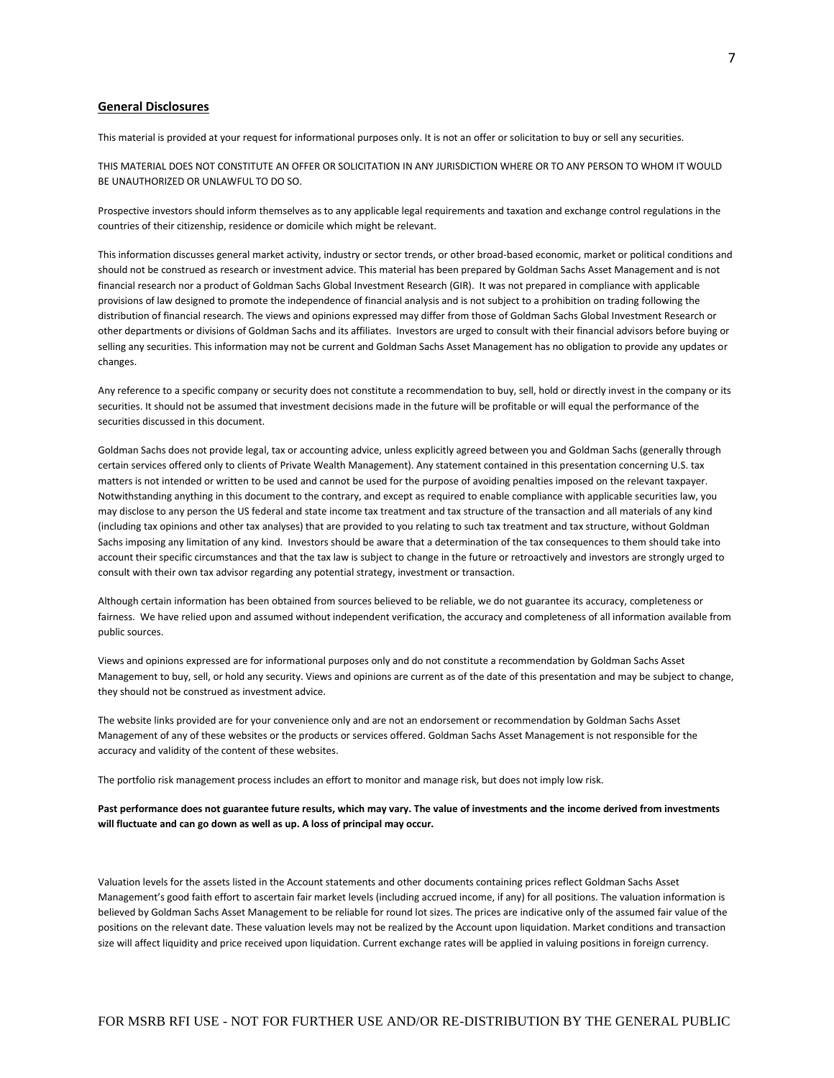## **General Disclosures**

This material is provided at your request for informational purposes only. It is not an offer or solicitation to buy or sell any securities.

THIS MATERIAL DOES NOT CONSTITUTE AN OFFER OR SOLICITATION IN ANY JURISDICTION WHERE OR TO ANY PERSON TO WHOM IT WOULD BE UNAUTHORIZED OR UNLAWFUL TO DO SO.

Prospective investors should inform themselves as to any applicable legal requirements and taxation and exchange control regulations in the countries of their citizenship, residence or domicile which might be relevant.

This information discusses general market activity, industry or sector trends, or other broad-based economic, market or political conditions and should not be construed as research or investment advice. This material has been prepared by Goldman Sachs Asset Management and is not financial research nor a product of Goldman Sachs Global Investment Research (GIR). It was not prepared in compliance with applicable provisions of law designed to promote the independence of financial analysis and is not subject to a prohibition on trading following the distribution of financial research. The views and opinions expressed may differ from those of Goldman Sachs Global Investment Research or other departments or divisions of Goldman Sachs and its affiliates. Investors are urged to consult with their financial advisors before buying or selling any securities. This information may not be current and Goldman Sachs Asset Management has no obligation to provide any updates or changes.

Any reference to a specific company or security does not constitute a recommendation to buy, sell, hold or directly invest in the company or its securities. It should not be assumed that investment decisions made in the future will be profitable or will equal the performance of the securities discussed in this document.

Goldman Sachs does not provide legal, tax or accounting advice, unless explicitly agreed between you and Goldman Sachs (generally through certain services offered only to clients of Private Wealth Management). Any statement contained in this presentation concerning U.S. tax matters is not intended or written to be used and cannot be used for the purpose of avoiding penalties imposed on the relevant taxpayer. Notwithstanding anything in this document to the contrary, and except as required to enable compliance with applicable securities law, you may disclose to any person the US federal and state income tax treatment and tax structure of the transaction and all materials of any kind (including tax opinions and other tax analyses) that are provided to you relating to such tax treatment and tax structure, without Goldman Sachs imposing any limitation of any kind. Investors should be aware that a determination of the tax consequences to them should take into account their specific circumstances and that the tax law is subject to change in the future or retroactively and investors are strongly urged to consult with their own tax advisor regarding any potential strategy, investment or transaction.

Although certain information has been obtained from sources believed to be reliable, we do not guarantee its accuracy, completeness or fairness. We have relied upon and assumed without independent verification, the accuracy and completeness of all information available from public sources.

Views and opinions expressed are for informational purposes only and do not constitute a recommendation by Goldman Sachs Asset Management to buy, sell, or hold any security. Views and opinions are current as of the date of this presentation and may be subject to change, they should not be construed as investment advice.

The website links provided are for your convenience only and are not an endorsement or recommendation by Goldman Sachs Asset Management of any of these websites or the products or services offered. Goldman Sachs Asset Management is not responsible for the accuracy and validity of the content of these websites.

The portfolio risk management process includes an effort to monitor and manage risk, but does not imply low risk.

**Past performance does not guarantee future results, which may vary. The value of investments and the income derived from investments will fluctuate and can go down as well as up. A loss of principal may occur.** 

Valuation levels for the assets listed in the Account statements and other documents containing prices reflect Goldman Sachs Asset Management's good faith effort to ascertain fair market levels (including accrued income, if any) for all positions. The valuation information is believed by Goldman Sachs Asset Management to be reliable for round lot sizes. The prices are indicative only of the assumed fair value of the positions on the relevant date. These valuation levels may not be realized by the Account upon liquidation. Market conditions and transaction size will affect liquidity and price received upon liquidation. Current exchange rates will be applied in valuing positions in foreign currency.